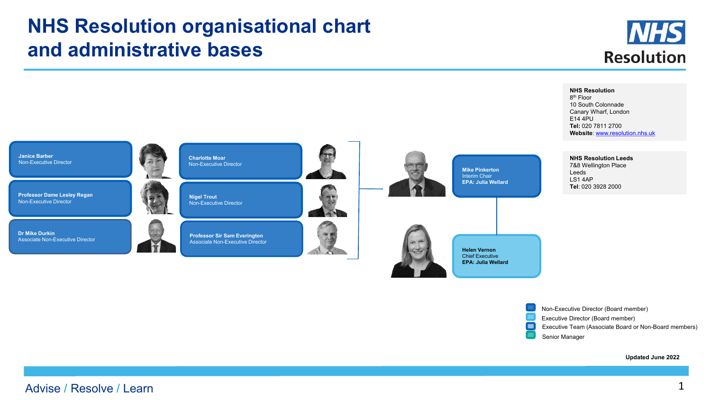## **NHS Resolution organisational chart and administrative bases**





**Updated June 2022**

Non-Executive Director (Board member) Executive Director (Board member)

Senior Manager

О

Executive Team (Associate Board or Non-Board members)

## Advise / Resolve / Learn 1